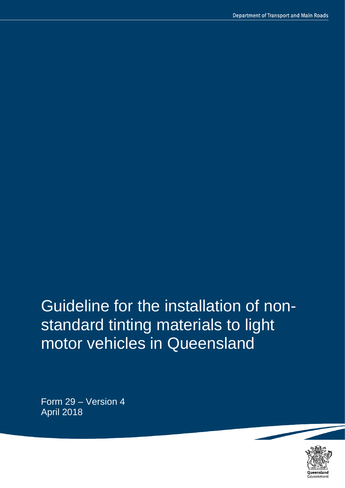# Guideline for the installation of nonstandard tinting materials to light motor vehicles in Queensland

Form 29 – Version 4 April 2018

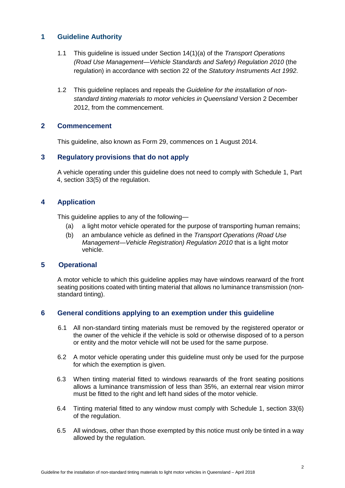## **1 Guideline Authority**

- 1.1 This guideline is issued under Section 14(1)(a) of the *Transport Operations (Road Use Management—Vehicle Standards and Safety) Regulation 2010* (the regulation) in accordance with section 22 of the *Statutory Instruments Act 1992*.
- 1.2 This guideline replaces and repeals the *Guideline for the installation of nonstandard tinting materials to motor vehicles in Queensland* Version 2 December 2012, from the commencement.

## **2 Commencement**

This guideline, also known as Form 29, commences on 1 August 2014.

## **3 Regulatory provisions that do not apply**

A vehicle operating under this guideline does not need to comply with Schedule 1, Part 4, section 33(5) of the regulation.

## **4 Application**

This guideline applies to any of the following—

- (a) a light motor vehicle operated for the purpose of transporting human remains;
- (b) an ambulance vehicle as defined in the *Transport Operations (Road Use Management—Vehicle Registration) Regulation 2010* that is a light motor vehicle.

## **5 Operational**

 A motor vehicle to which this guideline applies may have windows rearward of the front seating positions coated with tinting material that allows no luminance transmission (nonstandard tinting).

## **6 General conditions applying to an exemption under this guideline**

- 6.1 All non-standard tinting materials must be removed by the registered operator or the owner of the vehicle if the vehicle is sold or otherwise disposed of to a person or entity and the motor vehicle will not be used for the same purpose.
- 6.2 A motor vehicle operating under this guideline must only be used for the purpose for which the exemption is given.
- 6.3 When tinting material fitted to windows rearwards of the front seating positions allows a luminance transmission of less than 35%, an external rear vision mirror must be fitted to the right and left hand sides of the motor vehicle.
- 6.4 Tinting material fitted to any window must comply with Schedule 1, section 33(6) of the regulation.
- 6.5 All windows, other than those exempted by this notice must only be tinted in a way allowed by the regulation.